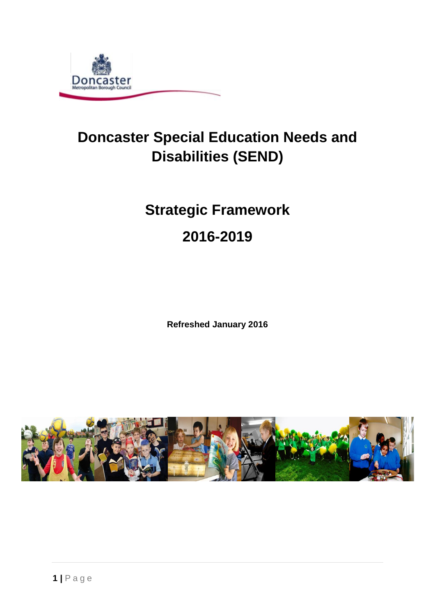

# **Doncaster Special Education Needs and Disabilities (SEND)**

# **Strategic Framework**

# **2016-2019**

**Refreshed January 2016**

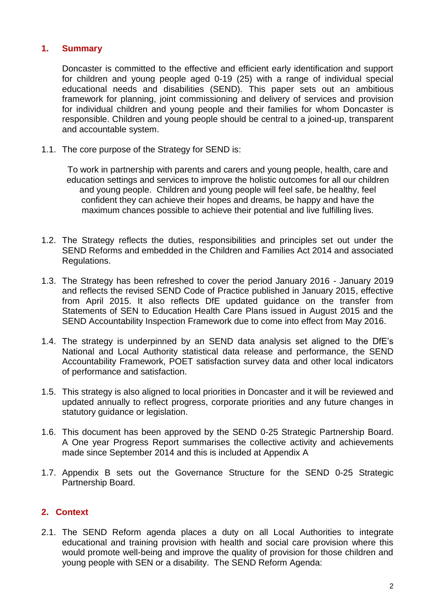#### **1. Summary**

Doncaster is committed to the effective and efficient early identification and support for children and young people aged 0-19 (25) with a range of individual special educational needs and disabilities (SEND). This paper sets out an ambitious framework for planning, joint commissioning and delivery of services and provision for individual children and young people and their families for whom Doncaster is responsible. Children and young people should be central to a joined-up, transparent and accountable system.

1.1. The core purpose of the Strategy for SEND is:

To work in partnership with parents and carers and young people, health, care and education settings and services to improve the holistic outcomes for all our children and young people. Children and young people will feel safe, be healthy, feel confident they can achieve their hopes and dreams, be happy and have the maximum chances possible to achieve their potential and live fulfilling lives.

- 1.2. The Strategy reflects the duties, responsibilities and principles set out under the SEND Reforms and embedded in the Children and Families Act 2014 and associated Regulations.
- 1.3. The Strategy has been refreshed to cover the period January 2016 January 2019 and reflects the revised SEND Code of Practice published in January 2015, effective from April 2015. It also reflects DfE updated guidance on the transfer from Statements of SEN to Education Health Care Plans issued in August 2015 and the SEND Accountability Inspection Framework due to come into effect from May 2016.
- 1.4. The strategy is underpinned by an SEND data analysis set aligned to the DfE's National and Local Authority statistical data release and performance, the SEND Accountability Framework, POET satisfaction survey data and other local indicators of performance and satisfaction.
- 1.5. This strategy is also aligned to local priorities in Doncaster and it will be reviewed and updated annually to reflect progress, corporate priorities and any future changes in statutory guidance or legislation.
- 1.6. This document has been approved by the SEND 0-25 Strategic Partnership Board. A One year Progress Report summarises the collective activity and achievements made since September 2014 and this is included at Appendix A
- 1.7. Appendix B sets out the Governance Structure for the SEND 0-25 Strategic Partnership Board.

### **2. Context**

2.1. The SEND Reform agenda places a duty on all Local Authorities to integrate educational and training provision with health and social care provision where this would promote well-being and improve the quality of provision for those children and young people with SEN or a disability. The SEND Reform Agenda: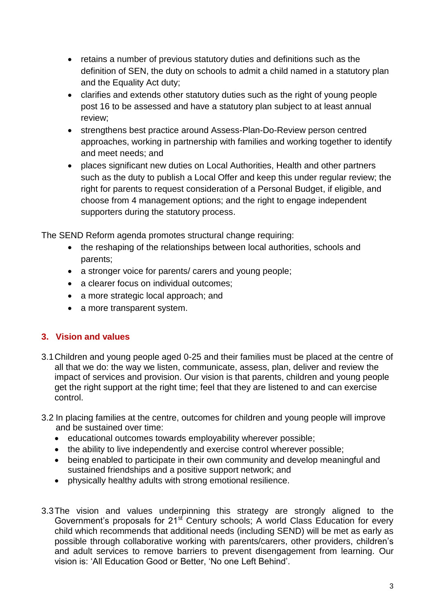- retains a number of previous statutory duties and definitions such as the definition of SEN, the duty on schools to admit a child named in a statutory plan and the Equality Act duty;
- clarifies and extends other statutory duties such as the right of young people post 16 to be assessed and have a statutory plan subject to at least annual review;
- strengthens best practice around Assess-Plan-Do-Review person centred approaches, working in partnership with families and working together to identify and meet needs; and
- places significant new duties on Local Authorities, Health and other partners such as the duty to publish a Local Offer and keep this under regular review; the right for parents to request consideration of a Personal Budget, if eligible, and choose from 4 management options; and the right to engage independent supporters during the statutory process.

The SEND Reform agenda promotes structural change requiring:

- the reshaping of the relationships between local authorities, schools and parents;
- a stronger voice for parents/ carers and young people;
- a clearer focus on individual outcomes;
- a more strategic local approach; and
- a more transparent system.

# **3. Vision and values**

- 3.1Children and young people aged 0-25 and their families must be placed at the centre of all that we do: the way we listen, communicate, assess, plan, deliver and review the impact of services and provision. Our vision is that parents, children and young people get the right support at the right time; feel that they are listened to and can exercise control.
- 3.2 In placing families at the centre, outcomes for children and young people will improve and be sustained over time:
	- educational outcomes towards employability wherever possible;
	- the ability to live independently and exercise control wherever possible;
	- being enabled to participate in their own community and develop meaningful and sustained friendships and a positive support network; and
	- physically healthy adults with strong emotional resilience.
- 3.3The vision and values underpinning this strategy are strongly aligned to the Government's proposals for 21<sup>st</sup> Century schools; A world Class Education for every child which recommends that additional needs (including SEND) will be met as early as possible through collaborative working with parents/carers, other providers, children's and adult services to remove barriers to prevent disengagement from learning. Our vision is: 'All Education Good or Better, 'No one Left Behind'.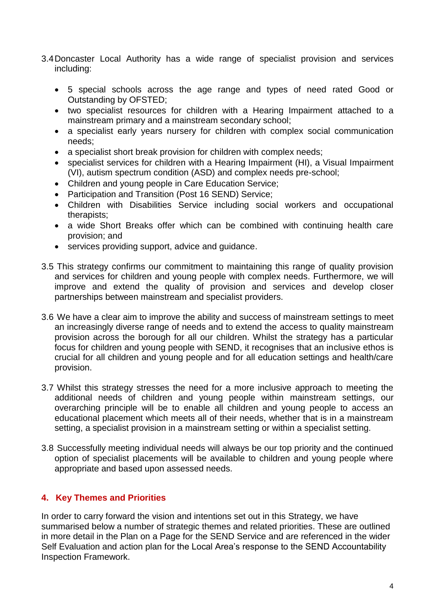- 3.4Doncaster Local Authority has a wide range of specialist provision and services including:
	- 5 special schools across the age range and types of need rated Good or Outstanding by OFSTED;
	- two specialist resources for children with a Hearing Impairment attached to a mainstream primary and a mainstream secondary school;
	- a specialist early years nursery for children with complex social communication needs;
	- a specialist short break provision for children with complex needs;
	- specialist services for children with a Hearing Impairment (HI), a Visual Impairment (VI), autism spectrum condition (ASD) and complex needs pre-school;
	- Children and young people in Care Education Service;
	- Participation and Transition (Post 16 SEND) Service;
	- Children with Disabilities Service including social workers and occupational therapists;
	- a wide Short Breaks offer which can be combined with continuing health care provision; and
	- services providing support, advice and guidance.
- 3.5 This strategy confirms our commitment to maintaining this range of quality provision and services for children and young people with complex needs. Furthermore, we will improve and extend the quality of provision and services and develop closer partnerships between mainstream and specialist providers.
- 3.6 We have a clear aim to improve the ability and success of mainstream settings to meet an increasingly diverse range of needs and to extend the access to quality mainstream provision across the borough for all our children. Whilst the strategy has a particular focus for children and young people with SEND, it recognises that an inclusive ethos is crucial for all children and young people and for all education settings and health/care provision.
- 3.7 Whilst this strategy stresses the need for a more inclusive approach to meeting the additional needs of children and young people within mainstream settings, our overarching principle will be to enable all children and young people to access an educational placement which meets all of their needs, whether that is in a mainstream setting, a specialist provision in a mainstream setting or within a specialist setting.
- 3.8 Successfully meeting individual needs will always be our top priority and the continued option of specialist placements will be available to children and young people where appropriate and based upon assessed needs.

### **4. Key Themes and Priorities**

In order to carry forward the vision and intentions set out in this Strategy, we have summarised below a number of strategic themes and related priorities. These are outlined in more detail in the Plan on a Page for the SEND Service and are referenced in the wider Self Evaluation and action plan for the Local Area's response to the SEND Accountability Inspection Framework.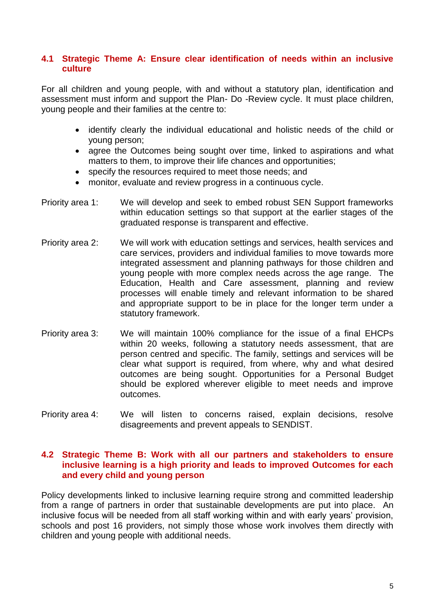#### **4.1 Strategic Theme A: Ensure clear identification of needs within an inclusive culture**

For all children and young people, with and without a statutory plan, identification and assessment must inform and support the Plan- Do -Review cycle. It must place children, young people and their families at the centre to:

- identify clearly the individual educational and holistic needs of the child or young person;
- agree the Outcomes being sought over time, linked to aspirations and what matters to them, to improve their life chances and opportunities;
- specify the resources required to meet those needs; and
- monitor, evaluate and review progress in a continuous cycle.
- Priority area 1: We will develop and seek to embed robust SEN Support frameworks within education settings so that support at the earlier stages of the graduated response is transparent and effective.
- Priority area 2: We will work with education settings and services, health services and care services, providers and individual families to move towards more integrated assessment and planning pathways for those children and young people with more complex needs across the age range. The Education, Health and Care assessment, planning and review processes will enable timely and relevant information to be shared and appropriate support to be in place for the longer term under a statutory framework.
- Priority area 3: We will maintain 100% compliance for the issue of a final EHCPs within 20 weeks, following a statutory needs assessment, that are person centred and specific. The family, settings and services will be clear what support is required, from where, why and what desired outcomes are being sought. Opportunities for a Personal Budget should be explored wherever eligible to meet needs and improve outcomes.
- Priority area 4: We will listen to concerns raised, explain decisions, resolve disagreements and prevent appeals to SENDIST.

#### **4.2 Strategic Theme B: Work with all our partners and stakeholders to ensure inclusive learning is a high priority and leads to improved Outcomes for each and every child and young person**

Policy developments linked to inclusive learning require strong and committed leadership from a range of partners in order that sustainable developments are put into place. An inclusive focus will be needed from all staff working within and with early years' provision, schools and post 16 providers, not simply those whose work involves them directly with children and young people with additional needs.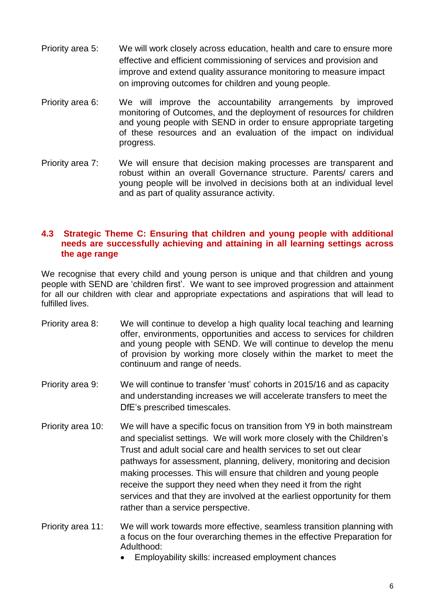- Priority area 5: We will work closely across education, health and care to ensure more effective and efficient commissioning of services and provision and improve and extend quality assurance monitoring to measure impact on improving outcomes for children and young people.
- Priority area 6: We will improve the accountability arrangements by improved monitoring of Outcomes, and the deployment of resources for children and young people with SEND in order to ensure appropriate targeting of these resources and an evaluation of the impact on individual progress.
- Priority area 7: We will ensure that decision making processes are transparent and robust within an overall Governance structure. Parents/ carers and young people will be involved in decisions both at an individual level and as part of quality assurance activity.

#### **4.3 Strategic Theme C: Ensuring that children and young people with additional needs are successfully achieving and attaining in all learning settings across the age range**

We recognise that every child and young person is unique and that children and young people with SEND are 'children first'. We want to see improved progression and attainment for all our children with clear and appropriate expectations and aspirations that will lead to fulfilled lives.

- Priority area 8: We will continue to develop a high quality local teaching and learning offer, environments, opportunities and access to services for children and young people with SEND. We will continue to develop the menu of provision by working more closely within the market to meet the continuum and range of needs.
- Priority area 9: We will continue to transfer 'must' cohorts in 2015/16 and as capacity and understanding increases we will accelerate transfers to meet the DfE's prescribed timescales.
- Priority area 10: We will have a specific focus on transition from Y9 in both mainstream and specialist settings. We will work more closely with the Children's Trust and adult social care and health services to set out clear pathways for assessment, planning, delivery, monitoring and decision making processes. This will ensure that children and young people receive the support they need when they need it from the right services and that they are involved at the earliest opportunity for them rather than a service perspective.
- Priority area 11: We will work towards more effective, seamless transition planning with a focus on the four overarching themes in the effective Preparation for Adulthood:
	- Employability skills: increased employment chances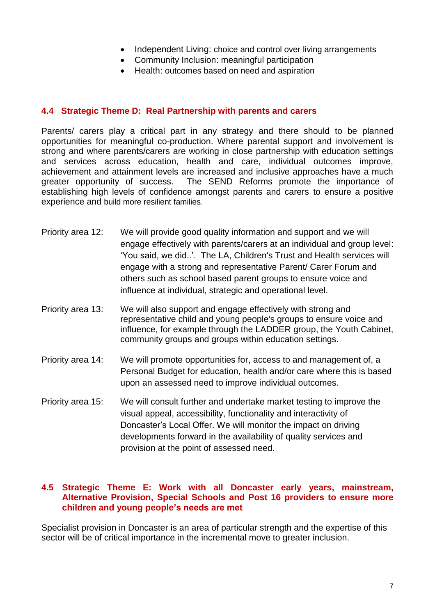- Independent Living: choice and control over living arrangements
- Community Inclusion: meaningful participation
- Health: outcomes based on need and aspiration

#### **4.4 Strategic Theme D: Real Partnership with parents and carers**

Parents/ carers play a critical part in any strategy and there should to be planned opportunities for meaningful co-production. Where parental support and involvement is strong and where parents/carers are working in close partnership with education settings and services across education, health and care, individual outcomes improve, achievement and attainment levels are increased and inclusive approaches have a much greater opportunity of success. The SEND Reforms promote the importance of establishing high levels of confidence amongst parents and carers to ensure a positive experience and build more resilient families.

- Priority area 12: We will provide good quality information and support and we will engage effectively with parents/carers at an individual and group level: 'You said, we did..'. The LA, Children's Trust and Health services will engage with a strong and representative Parent/ Carer Forum and others such as school based parent groups to ensure voice and influence at individual, strategic and operational level.
- Priority area 13: We will also support and engage effectively with strong and representative child and young people's groups to ensure voice and influence, for example through the LADDER group, the Youth Cabinet, community groups and groups within education settings.
- Priority area 14: We will promote opportunities for, access to and management of, a Personal Budget for education, health and/or care where this is based upon an assessed need to improve individual outcomes.
- Priority area 15: We will consult further and undertake market testing to improve the visual appeal, accessibility, functionality and interactivity of Doncaster's Local Offer. We will monitor the impact on driving developments forward in the availability of quality services and provision at the point of assessed need.

#### **4.5 Strategic Theme E: Work with all Doncaster early years, mainstream, Alternative Provision, Special Schools and Post 16 providers to ensure more children and young people's needs are met**

Specialist provision in Doncaster is an area of particular strength and the expertise of this sector will be of critical importance in the incremental move to greater inclusion.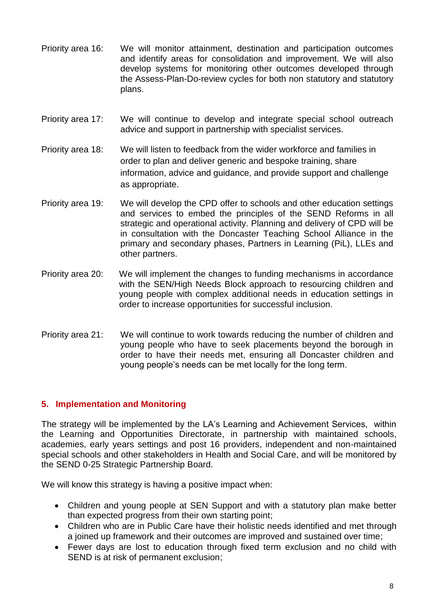- Priority area 16: We will monitor attainment, destination and participation outcomes and identify areas for consolidation and improvement. We will also develop systems for monitoring other outcomes developed through the Assess-Plan-Do-review cycles for both non statutory and statutory plans.
- Priority area 17: We will continue to develop and integrate special school outreach advice and support in partnership with specialist services.
- Priority area 18: We will listen to feedback from the wider workforce and families in order to plan and deliver generic and bespoke training, share information, advice and guidance, and provide support and challenge as appropriate.
- Priority area 19: We will develop the CPD offer to schools and other education settings and services to embed the principles of the SEND Reforms in all strategic and operational activity. Planning and delivery of CPD will be in consultation with the Doncaster Teaching School Alliance in the primary and secondary phases, Partners in Learning (PiL), LLEs and other partners.
- Priority area 20: We will implement the changes to funding mechanisms in accordance with the SEN/High Needs Block approach to resourcing children and young people with complex additional needs in education settings in order to increase opportunities for successful inclusion.
- Priority area 21: We will continue to work towards reducing the number of children and young people who have to seek placements beyond the borough in order to have their needs met, ensuring all Doncaster children and young people's needs can be met locally for the long term.

### **5. Implementation and Monitoring**

The strategy will be implemented by the LA's Learning and Achievement Services, within the Learning and Opportunities Directorate, in partnership with maintained schools, academies, early years settings and post 16 providers, independent and non-maintained special schools and other stakeholders in Health and Social Care, and will be monitored by the SEND 0-25 Strategic Partnership Board.

We will know this strategy is having a positive impact when:

- Children and young people at SEN Support and with a statutory plan make better than expected progress from their own starting point;
- Children who are in Public Care have their holistic needs identified and met through a joined up framework and their outcomes are improved and sustained over time;
- Fewer days are lost to education through fixed term exclusion and no child with SEND is at risk of permanent exclusion;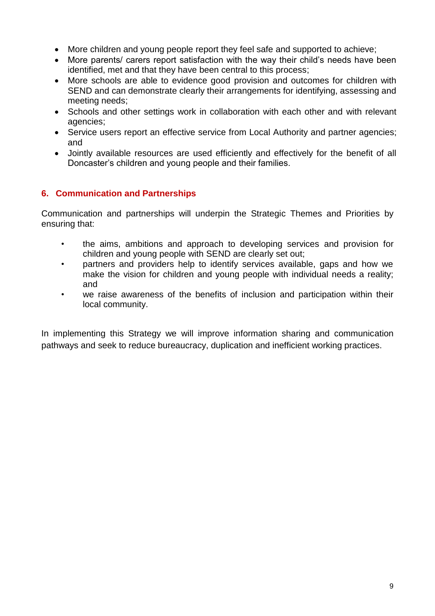- More children and young people report they feel safe and supported to achieve;
- More parents/ carers report satisfaction with the way their child's needs have been identified, met and that they have been central to this process;
- More schools are able to evidence good provision and outcomes for children with SEND and can demonstrate clearly their arrangements for identifying, assessing and meeting needs;
- Schools and other settings work in collaboration with each other and with relevant agencies;
- Service users report an effective service from Local Authority and partner agencies; and
- Jointly available resources are used efficiently and effectively for the benefit of all Doncaster's children and young people and their families.

# **6. Communication and Partnerships**

Communication and partnerships will underpin the Strategic Themes and Priorities by ensuring that:

- the aims, ambitions and approach to developing services and provision for children and young people with SEND are clearly set out;
- partners and providers help to identify services available, gaps and how we make the vision for children and young people with individual needs a reality; and
- we raise awareness of the benefits of inclusion and participation within their local community.

In implementing this Strategy we will improve information sharing and communication pathways and seek to reduce bureaucracy, duplication and inefficient working practices.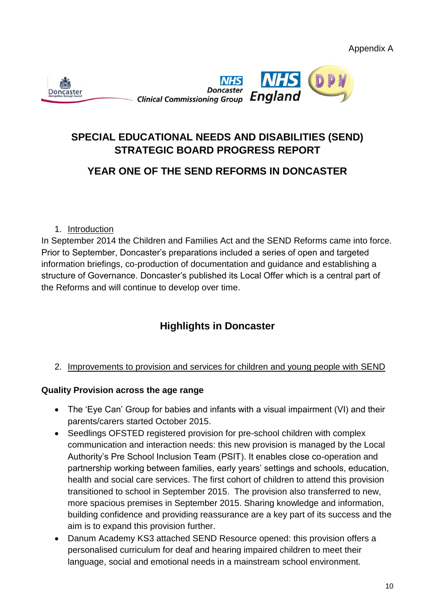

# **SPECIAL EDUCATIONAL NEEDS AND DISABILITIES (SEND) STRATEGIC BOARD PROGRESS REPORT**

# **YEAR ONE OF THE SEND REFORMS IN DONCASTER**

## 1. Introduction

In September 2014 the Children and Families Act and the SEND Reforms came into force. Prior to September, Doncaster's preparations included a series of open and targeted information briefings, co-production of documentation and guidance and establishing a structure of Governance. Doncaster's published its Local Offer which is a central part of the Reforms and will continue to develop over time.

# **Highlights in Doncaster**

# 2. Improvements to provision and services for children and young people with SEND

### **Quality Provision across the age range**

- The 'Eye Can' Group for babies and infants with a visual impairment (VI) and their parents/carers started October 2015.
- Seedlings OFSTED registered provision for pre-school children with complex communication and interaction needs: this new provision is managed by the Local Authority's Pre School Inclusion Team (PSIT). It enables close co-operation and partnership working between families, early years' settings and schools, education, health and social care services. The first cohort of children to attend this provision transitioned to school in September 2015. The provision also transferred to new, more spacious premises in September 2015. Sharing knowledge and information, building confidence and providing reassurance are a key part of its success and the aim is to expand this provision further.
- Danum Academy KS3 attached SEND Resource opened: this provision offers a personalised curriculum for deaf and hearing impaired children to meet their language, social and emotional needs in a mainstream school environment.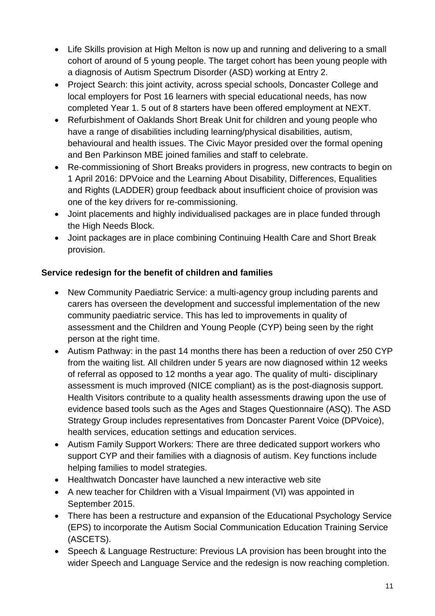- Life Skills provision at High Melton is now up and running and delivering to a small cohort of around of 5 young people. The target cohort has been young people with a diagnosis of Autism Spectrum Disorder (ASD) working at Entry 2.
- Project Search: this joint activity, across special schools, Doncaster College and local employers for Post 16 learners with special educational needs, has now completed Year 1. 5 out of 8 starters have been offered employment at NEXT.
- Refurbishment of Oaklands Short Break Unit for children and young people who have a range of disabilities including learning/physical disabilities, autism, behavioural and health issues. The Civic Mayor presided over the formal opening and Ben Parkinson MBE joined families and staff to celebrate.
- Re-commissioning of Short Breaks providers in progress, new contracts to begin on 1 April 2016: DPVoice and the Learning About Disability, Differences, Equalities and Rights (LADDER) group feedback about insufficient choice of provision was one of the key drivers for re-commissioning.
- Joint placements and highly individualised packages are in place funded through the High Needs Block.
- Joint packages are in place combining Continuing Health Care and Short Break provision.

# **Service redesign for the benefit of children and families**

- New Community Paediatric Service: a multi-agency group including parents and carers has overseen the development and successful implementation of the new community paediatric service. This has led to improvements in quality of assessment and the Children and Young People (CYP) being seen by the right person at the right time.
- Autism Pathway: in the past 14 months there has been a reduction of over 250 CYP from the waiting list. All children under 5 years are now diagnosed within 12 weeks of referral as opposed to 12 months a year ago. The quality of multi- disciplinary assessment is much improved (NICE compliant) as is the post-diagnosis support. Health Visitors contribute to a quality health assessments drawing upon the use of evidence based tools such as the Ages and Stages Questionnaire (ASQ). The ASD Strategy Group includes representatives from Doncaster Parent Voice (DPVoice), health services, education settings and education services.
- Autism Family Support Workers: There are three dedicated support workers who support CYP and their families with a diagnosis of autism. Key functions include helping families to model strategies.
- Healthwatch Doncaster have launched a new interactive web site
- A new teacher for Children with a Visual Impairment (VI) was appointed in September 2015.
- There has been a restructure and expansion of the Educational Psychology Service (EPS) to incorporate the Autism Social Communication Education Training Service (ASCETS).
- Speech & Language Restructure: Previous LA provision has been brought into the wider Speech and Language Service and the redesign is now reaching completion.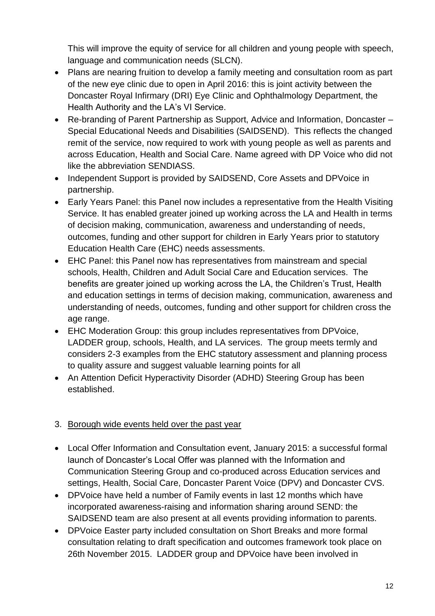This will improve the equity of service for all children and young people with speech, language and communication needs (SLCN).

- Plans are nearing fruition to develop a family meeting and consultation room as part of the new eye clinic due to open in April 2016: this is joint activity between the Doncaster Royal Infirmary (DRI) Eye Clinic and Ophthalmology Department, the Health Authority and the LA's VI Service.
- Re-branding of Parent Partnership as Support, Advice and Information, Doncaster Special Educational Needs and Disabilities (SAIDSEND). This reflects the changed remit of the service, now required to work with young people as well as parents and across Education, Health and Social Care. Name agreed with DP Voice who did not like the abbreviation SENDIASS.
- Independent Support is provided by SAIDSEND, Core Assets and DPVoice in partnership.
- Early Years Panel: this Panel now includes a representative from the Health Visiting Service. It has enabled greater joined up working across the LA and Health in terms of decision making, communication, awareness and understanding of needs, outcomes, funding and other support for children in Early Years prior to statutory Education Health Care (EHC) needs assessments.
- EHC Panel: this Panel now has representatives from mainstream and special schools, Health, Children and Adult Social Care and Education services. The benefits are greater joined up working across the LA, the Children's Trust, Health and education settings in terms of decision making, communication, awareness and understanding of needs, outcomes, funding and other support for children cross the age range.
- EHC Moderation Group: this group includes representatives from DPVoice, LADDER group, schools, Health, and LA services. The group meets termly and considers 2-3 examples from the EHC statutory assessment and planning process to quality assure and suggest valuable learning points for all
- An Attention Deficit Hyperactivity Disorder (ADHD) Steering Group has been established.

# 3. Borough wide events held over the past year

- Local Offer Information and Consultation event, January 2015: a successful formal launch of Doncaster's Local Offer was planned with the Information and Communication Steering Group and co-produced across Education services and settings, Health, Social Care, Doncaster Parent Voice (DPV) and Doncaster CVS.
- DPVoice have held a number of Family events in last 12 months which have incorporated awareness-raising and information sharing around SEND: the SAIDSEND team are also present at all events providing information to parents.
- DPVoice Easter party included consultation on Short Breaks and more formal consultation relating to draft specification and outcomes framework took place on 26th November 2015. LADDER group and DPVoice have been involved in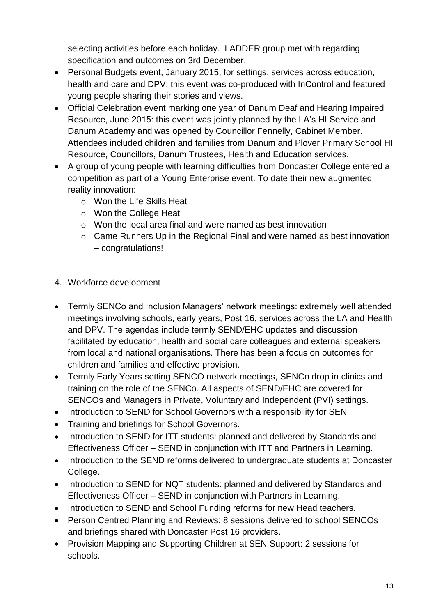selecting activities before each holiday. LADDER group met with regarding specification and outcomes on 3rd December.

- Personal Budgets event, January 2015, for settings, services across education, health and care and DPV: this event was co-produced with InControl and featured young people sharing their stories and views.
- Official Celebration event marking one year of Danum Deaf and Hearing Impaired Resource, June 2015: this event was jointly planned by the LA's HI Service and Danum Academy and was opened by Councillor Fennelly, Cabinet Member. Attendees included children and families from Danum and Plover Primary School HI Resource, Councillors, Danum Trustees, Health and Education services.
- A group of young people with learning difficulties from Doncaster College entered a competition as part of a Young Enterprise event. To date their new augmented reality innovation:
	- o Won the Life Skills Heat
	- o Won the College Heat
	- o Won the local area final and were named as best innovation
	- o Came Runners Up in the Regional Final and were named as best innovation – congratulations!
- 4. Workforce development
- Termly SENCo and Inclusion Managers' network meetings: extremely well attended meetings involving schools, early years, Post 16, services across the LA and Health and DPV. The agendas include termly SEND/EHC updates and discussion facilitated by education, health and social care colleagues and external speakers from local and national organisations. There has been a focus on outcomes for children and families and effective provision.
- Termly Early Years setting SENCO network meetings, SENCo drop in clinics and training on the role of the SENCo. All aspects of SEND/EHC are covered for SENCOs and Managers in Private, Voluntary and Independent (PVI) settings.
- Introduction to SEND for School Governors with a responsibility for SEN
- Training and briefings for School Governors.
- Introduction to SEND for ITT students: planned and delivered by Standards and Effectiveness Officer – SEND in conjunction with ITT and Partners in Learning.
- Introduction to the SEND reforms delivered to undergraduate students at Doncaster College.
- Introduction to SEND for NQT students: planned and delivered by Standards and Effectiveness Officer – SEND in conjunction with Partners in Learning.
- Introduction to SEND and School Funding reforms for new Head teachers.
- Person Centred Planning and Reviews: 8 sessions delivered to school SENCOs and briefings shared with Doncaster Post 16 providers.
- Provision Mapping and Supporting Children at SEN Support: 2 sessions for schools.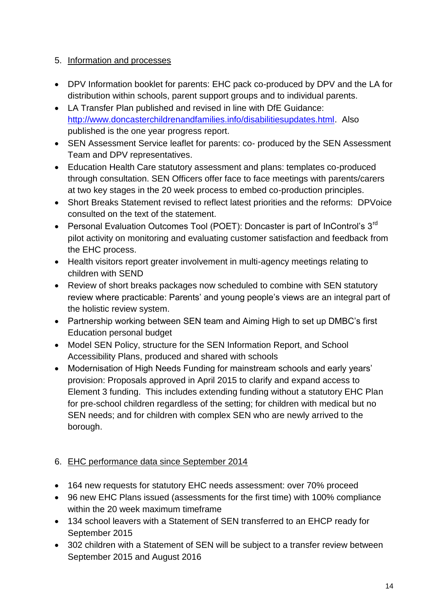# 5. Information and processes

- DPV Information booklet for parents: EHC pack co-produced by DPV and the LA for distribution within schools, parent support groups and to individual parents.
- LA Transfer Plan published and revised in line with DfE Guidance: [http://www.doncasterchildrenandfamilies.info/disabilitiesupdates.html.](http://www.doncasterchildrenandfamilies.info/disabilitiesupdates.html) Also published is the one year progress report.
- SEN Assessment Service leaflet for parents: co- produced by the SEN Assessment Team and DPV representatives.
- Education Health Care statutory assessment and plans: templates co-produced through consultation. SEN Officers offer face to face meetings with parents/carers at two key stages in the 20 week process to embed co-production principles.
- Short Breaks Statement revised to reflect latest priorities and the reforms: DPVoice consulted on the text of the statement.
- Personal Evaluation Outcomes Tool (POET): Doncaster is part of InControl's 3<sup>rd</sup> pilot activity on monitoring and evaluating customer satisfaction and feedback from the EHC process.
- Health visitors report greater involvement in multi-agency meetings relating to children with SEND
- Review of short breaks packages now scheduled to combine with SEN statutory review where practicable: Parents' and young people's views are an integral part of the holistic review system.
- Partnership working between SEN team and Aiming High to set up DMBC's first Education personal budget
- Model SEN Policy, structure for the SEN Information Report, and School Accessibility Plans, produced and shared with schools
- Modernisation of High Needs Funding for mainstream schools and early years' provision: Proposals approved in April 2015 to clarify and expand access to Element 3 funding. This includes extending funding without a statutory EHC Plan for pre-school children regardless of the setting; for children with medical but no SEN needs; and for children with complex SEN who are newly arrived to the borough.

# 6. EHC performance data since September 2014

- 164 new requests for statutory EHC needs assessment: over 70% proceed
- 96 new EHC Plans issued (assessments for the first time) with 100% compliance within the 20 week maximum timeframe
- 134 school leavers with a Statement of SEN transferred to an EHCP ready for September 2015
- 302 children with a Statement of SEN will be subject to a transfer review between September 2015 and August 2016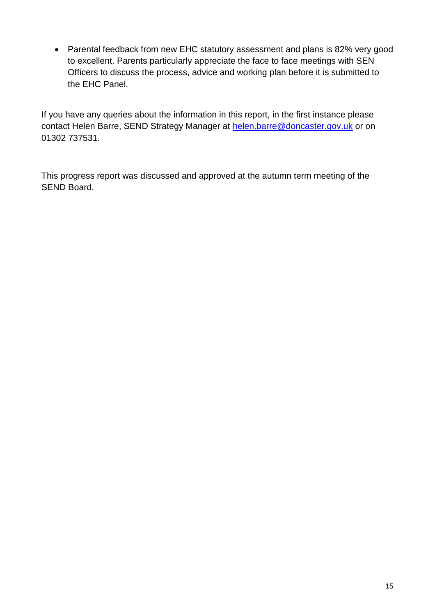• Parental feedback from new EHC statutory assessment and plans is 82% very good to excellent. Parents particularly appreciate the face to face meetings with SEN Officers to discuss the process, advice and working plan before it is submitted to the EHC Panel.

If you have any queries about the information in this report, in the first instance please contact Helen Barre, SEND Strategy Manager at [helen.barre@doncaster.gov.uk](mailto:helen.barre@doncaster.gov.uk) or on 01302 737531.

This progress report was discussed and approved at the autumn term meeting of the SEND Board.